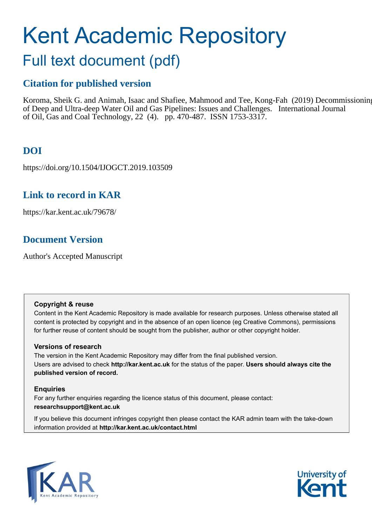# Kent Academic Repository

## Full text document (pdf)

## **Citation for published version**

Koroma, Sheik G. and Animah, Isaac and Shafiee, Mahmood and Tee, Kong-Fah (2019) Decommissioning of Deep and Ultra-deep Water Oil and Gas Pipelines: Issues and Challenges. International Journal of Oil, Gas and Coal Technology, 22 (4). pp. 470-487. ISSN 1753-3317.

## **DOI**

https://doi.org/10.1504/IJOGCT.2019.103509

## **Link to record in KAR**

https://kar.kent.ac.uk/79678/

## **Document Version**

Author's Accepted Manuscript

#### **Copyright & reuse**

Content in the Kent Academic Repository is made available for research purposes. Unless otherwise stated all content is protected by copyright and in the absence of an open licence (eg Creative Commons), permissions for further reuse of content should be sought from the publisher, author or other copyright holder.

#### **Versions of research**

The version in the Kent Academic Repository may differ from the final published version. Users are advised to check **http://kar.kent.ac.uk** for the status of the paper. **Users should always cite the published version of record.**

#### **Enquiries**

For any further enquiries regarding the licence status of this document, please contact: **researchsupport@kent.ac.uk**

If you believe this document infringes copyright then please contact the KAR admin team with the take-down information provided at **http://kar.kent.ac.uk/contact.html**



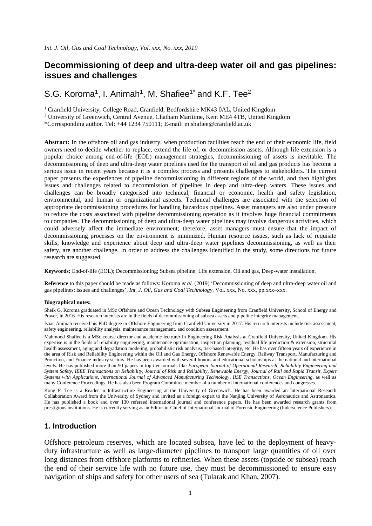#### **Decommissioning of deep and ultra-deep water oil and gas pipelines: issues and challenges**

#### S.G. Koroma<sup>1</sup>, I. Animah<sup>1</sup>, M. Shafiee<sup>1\*</sup> and K.F. Tee<sup>2</sup>

<sup>1</sup> Cranfield University, College Road, Cranfield, Bedfordshire MK43 0AL, United Kingdom

<sup>2</sup> University of Greenwich, Central Avenue, Chatham Maritime, Kent ME4 4TB, United Kingdom

\*Corresponding author. Tel: +44 1234 750111; E-mail: m.shafiee@cranfield.ac.uk

**Abstract:** In the offshore oil and gas industry, when production facilities reach the end of their economic life, field owners need to decide whether to replace, extend the life of, or decommission assets. Although life extension is a popular choice among end-of-life (EOL) management strategies, decommissioning of assets is inevitable. The decommissioning of deep and ultra-deep water pipelines used for the transport of oil and gas products has become a serious issue in recent years because it is a complex process and presents challenges to stakeholders. The current paper presents the experiences of pipeline decommissioning in different regions of the world, and then highlights issues and challenges related to decommission of pipelines in deep and ultra-deep waters. These issues and challenges can be broadly categorised into technical, financial or economic, health and safety legislation, environmental, and human or organizational aspects. Technical challenges are associated with the selection of appropriate decommissioning procedures for handling hazardous pipelines. Asset managers are also under pressure to reduce the costs associated with pipeline decommissioning operation as it involves huge financial commitments to companies. The decommissioning of deep and ultra-deep water pipelines may involve dangerous activities, which could adversely affect the immediate environment; therefore, asset managers must ensure that the impact of decommissioning processes on the environment is minimized. Human resource issues, such as lack of requisite skills, knowledge and experience about deep and ultra-deep water pipelines decommissioning, as well as their safety, are another challenge. In order to address the challenges identified in the study, some directions for future research are suggested.

**Keywords:** End-of-life (EOL); Decommissioning; Subsea pipeline; Life extension, Oil and gas, Deep-water installation.

**Reference** to this paper should be made as follows: Koroma *et al.* (2019) 'Decommissioning of deep and ultra-deep water oil and gas pipelines: issues and challenges', *Int. J. Oil, Gas and Coal Technology,* Vol. xxx, No. xxx, pp.xxx–xxx.

#### **Biographical notes:**

Sheik G. Koroma graduated in MSc Offshore and Ocean Technology with Subsea Engineering from Cranfield University, School of Energy and Power, in 2016. His research interests are in the fields of decommissioning of subsea assets and pipeline integrity management.

Isaac Animah received his PhD degree in Offshore Engineering from Cranfield University in 2017. His research interests include risk assessment, safety engineering, reliability analysis, maintenance management, and condition assessment.

Mahmood Shafiee is a MSc course director and academic lectrurer in Engineering Risk Analysis at Cranfield University, United Kingdom. His expertise is in the fields of reliability engineering, maintenance optimisation, inspection planning, residual life prediction & extension, structural health assessment, aging and degradation modeling, probabilistic risk analysis, risk-based integrity, etc. He has over fifteen years of experience in the area of Risk and Reliability Engineering within the Oil and Gas Energy, Offshore Renewable Energy, Railway Transport, Manufacturing and Prouction, and Finance industry sectors. He has been awarded with several honors and educational scholarships at the national and international levels. He has published more than 90 papers in top tier journals like *European Journal of Operational Research*, *Reliability Engineering and System Safety*, *IEEE Transactions on Reliability, Journal of Risk and Reliability*, *Renewable Energy*, *Journal of Rail and Rapid Transit*, *Expert Systems with Applications*, *International Journal of Advanced Manufacturing Technology*, *IISE Transactions*, *Ocean Engineering*, as well as many Conference Proceedings. He has also been Program Committee member of a number of international conferences and congresses.

Kong F. Tee is a Reader in Infrastructure Engineering at the University of Greenwich. He has been awarded an International Research Collaboration Award from the University of Sydney and invited as a foreign expert to the Nanjing University of Aeronautics and Astronautics. He has published a book and over 130 refereed international journal and conference papers. He has been awarded research grants from prestigious institutions. He is currently serving as an Editor-in-Chief of International Journal of Forensic Engineering (Inderscience Publishers).

#### **1. Introduction**

Offshore petroleum reserves, which are located subsea, have led to the deployment of heavyduty infrastructure as well as large-diameter pipelines to transport large quantities of oil over long distances from offshore platforms to refineries. When these assets (topside or subsea) reach the end of their service life with no future use, they must be decommissioned to ensure easy navigation of ships and safety for other users of sea (Tularak and Khan, 2007).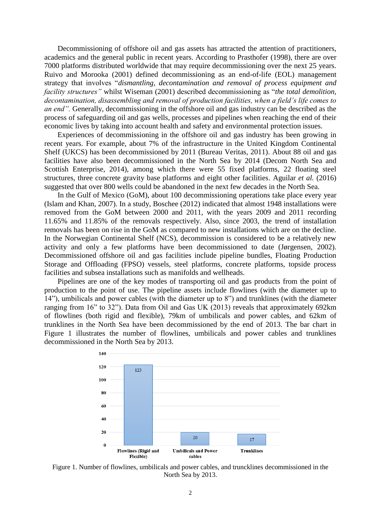Decommissioning of offshore oil and gas assets has attracted the attention of practitioners, academics and the general public in recent years. According to Prasthofer (1998), there are over 7000 platforms distributed worldwide that may require decommissioning over the next 25 years. Ruivo and Morooka (2001) defined decommissioning as an end-of-life (EOL) management strategy that involves "*dismantling, decontamination and removal of process equipment and facility structures"* whilst Wiseman (2001) described decommissioning as "*the total demolition, decontamination, disassembling and removal of production facilities, when a field's life comes to an end".* Generally, decommissioning in the offshore oil and gas industry can be described as the process of safeguarding oil and gas wells, processes and pipelines when reaching the end of their economic lives by taking into account health and safety and environmental protection issues.

Experiences of decommissioning in the offshore oil and gas industry has been growing in recent years. For example, about 7% of the infrastructure in the United Kingdom Continental Shelf (UKCS) has been decommissioned by 2011 (Bureau Veritas, 2011). About 88 oil and gas facilities have also been decommissioned in the North Sea by 2014 (Decom North Sea and Scottish Enterprise, 2014), among which there were 55 fixed platforms, 22 floating steel structures, three concrete gravity base platforms and eight other facilities. Aguilar *et al.* (2016) suggested that over 800 wells could be abandoned in the next few decades in the North Sea.

In the Gulf of Mexico (GoM), about 100 decommissioning operations take place every year (Islam and Khan, 2007). In a study, Boschee (2012) indicated that almost 1948 installations were removed from the GoM between 2000 and 2011, with the years 2009 and 2011 recording 11.65% and 11.85% of the removals respectively. Also, since 2003, the trend of installation removals has been on rise in the GoM as compared to new installations which are on the decline. In the Norwegian Continental Shelf (NCS), decommission is considered to be a relatively new activity and only a few platforms have been decommissioned to date (Jørgensen, 2002). Decommissioned offshore oil and gas facilities include pipeline bundles, Floating Production Storage and Offloading (FPSO) vessels, steel platforms, concrete platforms, topside process facilities and subsea installations such as manifolds and wellheads.

Pipelines are one of the key modes of transporting oil and gas products from the point of production to the point of use. The pipeline assets include flowlines (with the diameter up to 14"), umbilicals and power cables (with the diameter up to 8") and trunklines (with the diameter ranging from 16" to 32"). Data from Oil and Gas UK (2013) reveals that approximately 692km of flowlines (both rigid and flexible), 79km of umbilicals and power cables, and 62km of trunklines in the North Sea have been decommissioned by the end of 2013. The bar chart in Figure 1 illustrates the number of flowlines, umbilicals and power cables and trunklines decommissioned in the North Sea by 2013.



Figure 1. Number of flowlines, umbilicals and power cables, and truncklines decommissioned in the North Sea by 2013.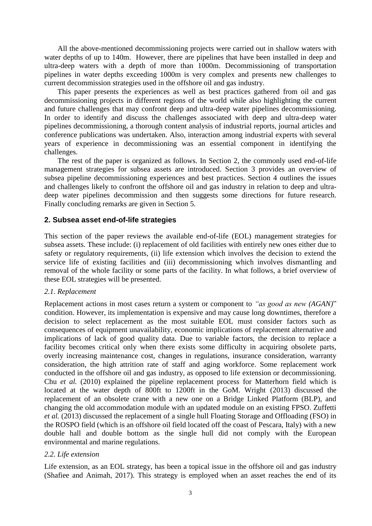All the above-mentioned decommissioning projects were carried out in shallow waters with water depths of up to 140m. However, there are pipelines that have been installed in deep and ultra-deep waters with a depth of more than 1000m. Decommissioning of transportation pipelines in water depths exceeding 1000m is very complex and presents new challenges to current decommission strategies used in the offshore oil and gas industry.

This paper presents the experiences as well as best practices gathered from oil and gas decommissioning projects in different regions of the world while also highlighting the current and future challenges that may confront deep and ultra-deep water pipelines decommissioning. In order to identify and discuss the challenges associated with deep and ultra-deep water pipelines decommissioning, a thorough content analysis of industrial reports, journal articles and conference publications was undertaken. Also, interaction among industrial experts with several years of experience in decommissioning was an essential component in identifying the challenges.

The rest of the paper is organized as follows. In Section 2, the commonly used end-of-life management strategies for subsea assets are introduced. Section 3 provides an overview of subsea pipeline decommissioning experiences and best practices. Section 4 outlines the issues and challenges likely to confront the offshore oil and gas industry in relation to deep and ultradeep water pipelines decommission and then suggests some directions for future research. Finally concluding remarks are given in Section 5.

#### **2. Subsea asset end-of-life strategies**

This section of the paper reviews the available end-of-life (EOL) management strategies for subsea assets. These include: (i) replacement of old facilities with entirely new ones either due to safety or regulatory requirements, (ii) life extension which involves the decision to extend the service life of existing facilities and (iii) decommissioning which involves dismantling and removal of the whole facility or some parts of the facility. In what follows, a brief overview of these EOL strategies will be presented.

#### *2.1. Replacement*

Replacement actions in most cases return a system or component to *"as good as new (AGAN)*" condition. However, its implementation is expensive and may cause long downtimes, therefore a decision to select replacement as the most suitable EOL must consider factors such as consequences of equipment unavailability, economic implications of replacement alternative and implications of lack of good quality data. Due to variable factors, the decision to replace a facility becomes critical only when there exists some difficulty in acquiring obsolete parts, overly increasing maintenance cost, changes in regulations, insurance consideration, warranty consideration, the high attrition rate of staff and aging workforce. Some replacement work conducted in the offshore oil and gas industry, as opposed to life extension or decommissioning. Chu *et al.* (2010) explained the pipeline replacement process for Matterhorn field which is located at the water depth of 800ft to 1200ft in the GoM. Wright (2013) discussed the replacement of an obsolete crane with a new one on a Bridge Linked Platform (BLP), and changing the old accommodation module with an updated module on an existing FPSO. Zuffetti *et al.* (2013) discussed the replacement of a single hull Floating Storage and Offloading (FSO) in the ROSPO field (which is an offshore oil field located off the coast of Pescara, Italy) with a new double hall and double bottom as the single hull did not comply with the European environmental and marine regulations.

#### *2.2. Life extension*

Life extension, as an EOL strategy, has been a topical issue in the offshore oil and gas industry (Shafiee and Animah, 2017). This strategy is employed when an asset reaches the end of its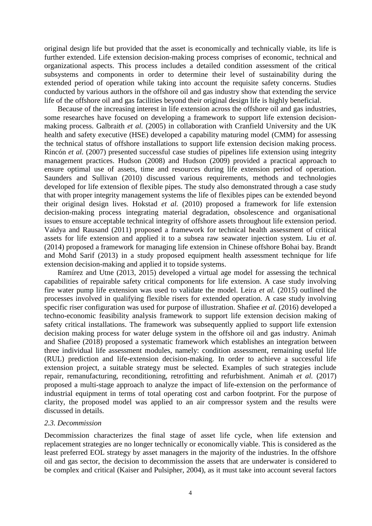original design life but provided that the asset is economically and technically viable, its life is further extended. Life extension decision-making process comprises of economic, technical and organizational aspects. This process includes a detailed condition assessment of the critical subsystems and components in order to determine their level of sustainability during the extended period of operation while taking into account the requisite safety concerns. Studies conducted by various authors in the offshore oil and gas industry show that extending the service life of the offshore oil and gas facilities beyond their original design life is highly beneficial.

Because of the increasing interest in life extension across the offshore oil and gas industries, some researches have focused on developing a framework to support life extension decisionmaking process. Galbraith *et al.* (2005) in collaboration with Cranfield University and the UK health and safety executive (HSE) developed a capability maturing model (CMM) for assessing the technical status of offshore installations to support life extension decision making process. Rincón *et al.* (2007) presented successful case studies of pipelines life extension using integrity management practices. Hudson (2008) and Hudson (2009) provided a practical approach to ensure optimal use of assets, time and resources during life extension period of operation. Saunders and Sullivan (2010) discussed various requirements, methods and technologies developed for life extension of flexible pipes. The study also demonstrated through a case study that with proper integrity management systems the life of flexibles pipes can be extended beyond their original design lives. Hokstad *et al.* (2010) proposed a framework for life extension decision-making process integrating material degradation, obsolescence and organisational issues to ensure acceptable technical integrity of offshore assets throughout life extension period. Vaidya and Rausand (2011) proposed a framework for technical health assessment of critical assets for life extension and applied it to a subsea raw seawater injection system. Liu *et al.* (2014) proposed a framework for managing life extension in Chinese offshore Bohai bay. Brandt and Mohd Sarif (2013) in a study proposed equipment health assessment technique for life extension decision-making and applied it to topside systems.

Ramírez and Utne (2013, 2015) developed a virtual age model for assessing the technical capabilities of repairable safety critical components for life extension. A case study involving fire water pump life extension was used to validate the model. Leira *et al.* (2015) outlined the processes involved in qualifying flexible risers for extended operation. A case study involving specific riser configuration was used for purpose of illustration. Shafiee *et al.* (2016) developed a techno-economic feasibility analysis framework to support life extension decision making of safety critical installations. The framework was subsequently applied to support life extension decision making process for water deluge system in the offshore oil and gas industry. Animah and Shafiee (2018) proposed a systematic framework which establishes an integration between three individual life assessment modules, namely: condition assessment, remaining useful life (RUL) prediction and life-extension decision-making. In order to achieve a successful life extension project, a suitable strategy must be selected. Examples of such strategies include repair, remanufacturing, reconditioning, retrofitting and refurbishment. Animah *et al.* (2017) proposed a multi-stage approach to analyze the impact of life-extension on the performance of industrial equipment in terms of total operating cost and carbon footprint. For the purpose of clarity, the proposed model was applied to an air compressor system and the results were discussed in details.

#### *2.3. Decommission*

Decommission characterizes the final stage of asset life cycle, when life extension and replacement strategies are no longer technically or economically viable. This is considered as the least preferred EOL strategy by asset managers in the majority of the industries. In the offshore oil and gas sector, the decision to decommission the assets that are underwater is considered to be complex and critical (Kaiser and Pulsipher, 2004), as it must take into account several factors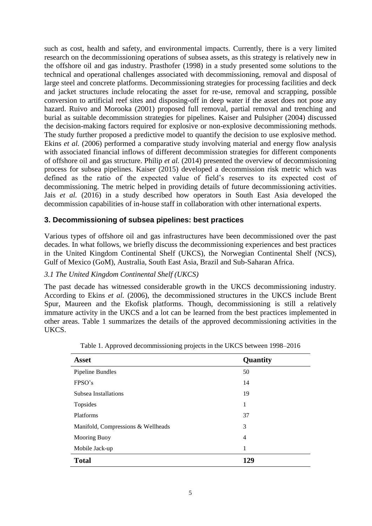such as cost, health and safety, and environmental impacts. Currently, there is a very limited research on the decommissioning operations of subsea assets, as this strategy is relatively new in the offshore oil and gas industry. Prasthofer (1998) in a study presented some solutions to the technical and operational challenges associated with decommissioning, removal and disposal of large steel and concrete platforms. Decommissioning strategies for processing facilities and deck and jacket structures include relocating the asset for re-use, removal and scrapping, possible conversion to artificial reef sites and disposing-off in deep water if the asset does not pose any hazard. Ruivo and Morooka (2001) proposed full removal, partial removal and trenching and burial as suitable decommission strategies for pipelines. Kaiser and Pulsipher (2004) discussed the decision-making factors required for explosive or non-explosive decommissioning methods. The study further proposed a predictive model to quantify the decision to use explosive method. Ekins *et al.* (2006) performed a comparative study involving material and energy flow analysis with associated financial inflows of different decommission strategies for different components of offshore oil and gas structure. Philip *et al.* (2014) presented the overview of decommissioning process for subsea pipelines. Kaiser (2015) developed a decommission risk metric which was defined as the ratio of the expected value of field's reserves to its expected cost of decommissioning. The metric helped in providing details of future decommissioning activities. Jais *et al.* (2016) in a study described how operators in South East Asia developed the decommission capabilities of in-house staff in collaboration with other international experts.

#### **3. Decommissioning of subsea pipelines: best practices**

Various types of offshore oil and gas infrastructures have been decommissioned over the past decades. In what follows, we briefly discuss the decommissioning experiences and best practices in the United Kingdom Continental Shelf (UKCS), the Norwegian Continental Shelf (NCS), Gulf of Mexico (GoM), Australia, South East Asia, Brazil and Sub-Saharan Africa.

#### *3.1 The United Kingdom Continental Shelf (UKCS)*

The past decade has witnessed considerable growth in the UKCS decommissioning industry. According to Ekins *et al.* (2006), the decommissioned structures in the UKCS include Brent Spur, Maureen and the Ekofisk platforms. Though, decommissioning is still a relatively immature activity in the UKCS and a lot can be learned from the best practices implemented in other areas. Table 1 summarizes the details of the approved decommissioning activities in the UKCS.

| <b>Asset</b>                       | Quantity |
|------------------------------------|----------|
| Pipeline Bundles                   | 50       |
| FPSO's                             | 14       |
| Subsea Installations               | 19       |
| Topsides                           | 1        |
| Platforms                          | 37       |
| Manifold, Compressions & Wellheads | 3        |
| <b>Mooring Buoy</b>                | 4        |
| Mobile Jack-up                     | 1        |
| <b>Total</b>                       | 129      |

| Table 1. Approved decommissioning projects in the UKCS between 1998–2016 |  |  |  |  |  |  |
|--------------------------------------------------------------------------|--|--|--|--|--|--|
|--------------------------------------------------------------------------|--|--|--|--|--|--|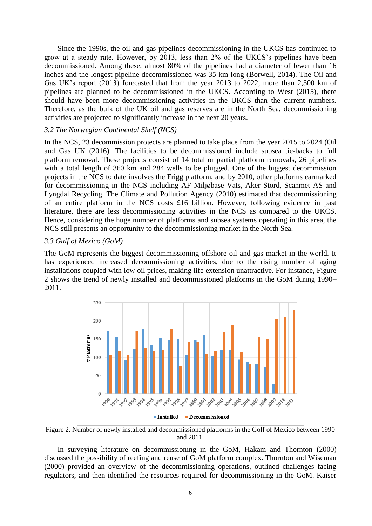Since the 1990s, the oil and gas pipelines decommissioning in the UKCS has continued to grow at a steady rate. However, by 2013, less than 2% of the UKCS's pipelines have been decommissioned. Among these, almost 80% of the pipelines had a diameter of fewer than 16 inches and the longest pipeline decommissioned was 35 km long (Borwell, 2014). The Oil and Gas UK's report (2013) forecasted that from the year 2013 to 2022, more than 2,300 km of pipelines are planned to be decommissioned in the UKCS. According to West (2015), there should have been more decommissioning activities in the UKCS than the current numbers. Therefore, as the bulk of the UK oil and gas reserves are in the North Sea, decommissioning activities are projected to significantly increase in the next 20 years.

#### *3.2 The Norwegian Continental Shelf (NCS)*

In the NCS, 23 decommission projects are planned to take place from the year 2015 to 2024 (Oil and Gas UK (2016). The facilities to be decommissioned include subsea tie-backs to full platform removal. These projects consist of 14 total or partial platform removals, 26 pipelines with a total length of 360 km and 284 wells to be plugged. One of the biggest decommission projects in the NCS to date involves the Frigg platform, and by 2010, other platforms earmarked for decommissioning in the NCS including AF Miljøbase Vats, Aker Stord, Scanmet AS and Lyngdal Recycling. The Climate and Pollution Agency (2010) estimated that decommissioning of an entire platform in the NCS costs £16 billion. However, following evidence in past literature, there are less decommissioning activities in the NCS as compared to the UKCS. Hence, considering the huge number of platforms and subsea systems operating in this area, the NCS still presents an opportunity to the decommissioning market in the North Sea.

#### *3.3 Gulf of Mexico (GoM)*

The GoM represents the biggest decommissioning offshore oil and gas market in the world. It has experienced increased decommissioning activities, due to the rising number of aging installations coupled with low oil prices, making life extension unattractive. For instance, Figure 2 shows the trend of newly installed and decommissioned platforms in the GoM during 1990– 2011.



Figure 2. Number of newly installed and decommissioned platforms in the Golf of Mexico between 1990 and 2011.

In surveying literature on decommissioning in the GoM, Hakam and Thornton (2000) discussed the possibility of reefing and reuse of GoM platform complex. Thornton and Wiseman (2000) provided an overview of the decommissioning operations, outlined challenges facing regulators, and then identified the resources required for decommissioning in the GoM. Kaiser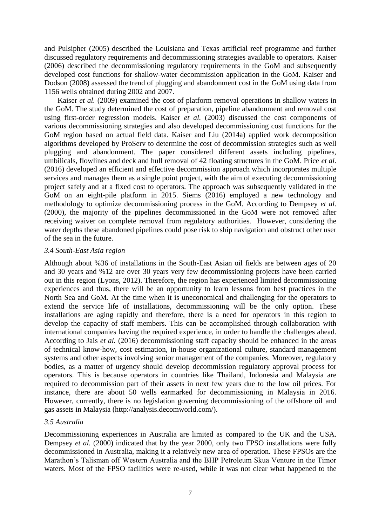and Pulsipher (2005) described the Louisiana and Texas artificial reef programme and further discussed regulatory requirements and decommissioning strategies available to operators. Kaiser (2006) described the decommissioning regulatory requirements in the GoM and subsequently developed cost functions for shallow-water decommission application in the GoM. Kaiser and Dodson (2008) assessed the trend of plugging and abandonment cost in the GoM using data from 1156 wells obtained during 2002 and 2007.

Kaiser *et al.* (2009) examined the cost of platform removal operations in shallow waters in the GoM. The study determined the cost of preparation, pipeline abandonment and removal cost using first-order regression models. Kaiser *et al.* (2003) discussed the cost components of various decommissioning strategies and also developed decommissioning cost functions for the GoM region based on actual field data. Kaiser and Liu (2014a) applied work decomposition algorithms developed by ProServ to determine the cost of decommission strategies such as well plugging and abandonment. The paper considered different assets including pipelines, umbilicals, flowlines and deck and hull removal of 42 floating structures in the GoM. Price *et al.* (2016) developed an efficient and effective decommission approach which incorporates multiple services and manages them as a single point project, with the aim of executing decommissioning project safely and at a fixed cost to operators. The approach was subsequently validated in the GoM on an eight-pile platform in 2015. Siems (2016) employed a new technology and methodology to optimize decommissioning process in the GoM. According to Dempsey *et al.* (2000), the majority of the pipelines decommissioned in the GoM were not removed after receiving waiver on complete removal from regulatory authorities. However, considering the water depths these abandoned pipelines could pose risk to ship navigation and obstruct other user of the sea in the future.

#### *3.4 South-East Asia region*

Although about %36 of installations in the South-East Asian oil fields are between ages of 20 and 30 years and %12 are over 30 years very few decommissioning projects have been carried out in this region (Lyons, 2012). Therefore, the region has experienced limited decommissioning experiences and thus, there will be an opportunity to learn lessons from best practices in the North Sea and GoM. At the time when it is uneconomical and challenging for the operators to extend the service life of installations, decommissioning will be the only option. These installations are aging rapidly and therefore, there is a need for operators in this region to develop the capacity of staff members. This can be accomplished through collaboration with international companies having the required experience, in order to handle the challenges ahead. According to Jais *et al.* (2016) decommissioning staff capacity should be enhanced in the areas of technical know-how, cost estimation, in-house organizational culture, standard management systems and other aspects involving senior management of the companies. Moreover, regulatory bodies, as a matter of urgency should develop decommission regulatory approval process for operators. This is because operators in countries like Thailand, Indonesia and Malaysia are required to decommission part of their assets in next few years due to the low oil prices. For instance, there are about 50 wells earmarked for decommissioning in Malaysia in 2016. However, currently, there is no legislation governing decommissioning of the offshore oil and gas assets in Malaysia (http://analysis.decomworld.com/).

#### *3.5 Australia*

Decommissioning experiences in Australia are limited as compared to the UK and the USA. Dempsey *et al.* (2000) indicated that by the year 2000, only two FPSO installations were fully decommissioned in Australia, making it a relatively new area of operation. These FPSOs are the Marathon's Talisman off Western Australia and the BHP Petroleum Skua Venture in the Timor waters. Most of the FPSO facilities were re-used, while it was not clear what happened to the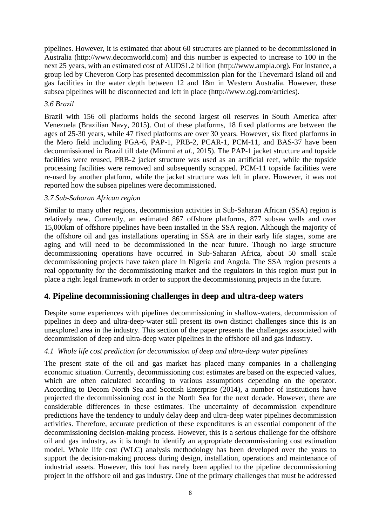pipelines. However, it is estimated that about 60 structures are planned to be decommissioned in Australia (http://www.decomworld.com) and this number is expected to increase to 100 in the next 25 years, with an estimated cost of AUD\$1.2 billion (http://www.ampla.org). For instance, a group led by Cheveron Corp has presented decommission plan for the Thevernard Island oil and gas facilities in the water depth between 12 and 18m in Western Australia. However, these subsea pipelines will be disconnected and left in place (http://www.ogj.com/articles).

#### *3.6 Brazil*

Brazil with 156 oil platforms holds the second largest oil reserves in South America after Venezuela (Brazilian Navy, 2015). Out of these platforms, 18 fixed platforms are between the ages of 25-30 years, while 47 fixed platforms are over 30 years. However, six fixed platforms in the Mero field including PGA-6, PAP-1, PRB-2, PCAR-1, PCM-11, and BAS-37 have been decommissioned in Brazil till date (Mimmi *et al.*, 2015). The PAP-1 jacket structure and topside facilities were reused, PRB-2 jacket structure was used as an artificial reef, while the topside processing facilities were removed and subsequently scrapped. PCM-11 topside facilities were re-used by another platform, while the jacket structure was left in place. However, it was not reported how the subsea pipelines were decommissioned.

#### *3.7 Sub-Saharan African region*

Similar to many other regions, decommission activities in Sub-Saharan African (SSA) region is relatively new. Currently, an estimated 867 offshore platforms, 877 subsea wells and over 15,000km of offshore pipelines have been installed in the SSA region. Although the majority of the offshore oil and gas installations operating in SSA are in their early life stages, some are aging and will need to be decommissioned in the near future. Though no large structure decommissioning operations have occurred in Sub-Saharan Africa, about 50 small scale decommissioning projects have taken place in Nigeria and Angola. The SSA region presents a real opportunity for the decommissioning market and the regulators in this region must put in place a right legal framework in order to support the decommissioning projects in the future.

#### **4. Pipeline decommissioning challenges in deep and ultra-deep waters**

Despite some experiences with pipelines decommissioning in shallow-waters, decommission of pipelines in deep and ultra-deep-water still present its own distinct challenges since this is an unexplored area in the industry. This section of the paper presents the challenges associated with decommission of deep and ultra-deep water pipelines in the offshore oil and gas industry.

#### *4.1 Whole life cost prediction for decommission of deep and ultra-deep water pipelines*

The present state of the oil and gas market has placed many companies in a challenging economic situation. Currently, decommissioning cost estimates are based on the expected values, which are often calculated according to various assumptions depending on the operator. According to Decom North Sea and Scottish Enterprise (2014), a number of institutions have projected the decommissioning cost in the North Sea for the next decade. However, there are considerable differences in these estimates. The uncertainty of decommission expenditure predictions have the tendency to unduly delay deep and ultra-deep water pipelines decommission activities. Therefore, accurate prediction of these expenditures is an essential component of the decommissioning decision-making process. However, this is a serious challenge for the offshore oil and gas industry, as it is tough to identify an appropriate decommissioning cost estimation model. Whole life cost (WLC) analysis methodology has been developed over the years to support the decision-making process during design, installation, operations and maintenance of industrial assets. However, this tool has rarely been applied to the pipeline decommissioning project in the offshore oil and gas industry. One of the primary challenges that must be addressed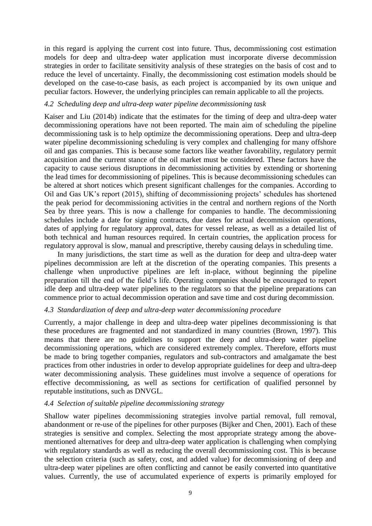in this regard is applying the current cost into future. Thus, decommissioning cost estimation models for deep and ultra-deep water application must incorporate diverse decommission strategies in order to facilitate sensitivity analysis of these strategies on the basis of cost and to reduce the level of uncertainty. Finally, the decommissioning cost estimation models should be developed on the case-to-case basis, as each project is accompanied by its own unique and peculiar factors. However, the underlying principles can remain applicable to all the projects.

#### *4.2 Scheduling deep and ultra-deep water pipeline decommissioning task*

Kaiser and Liu (2014b) indicate that the estimates for the timing of deep and ultra-deep water decommissioning operations have not been reported. The main aim of scheduling the pipeline decommissioning task is to help optimize the decommissioning operations. Deep and ultra-deep water pipeline decommissioning scheduling is very complex and challenging for many offshore oil and gas companies. This is because some factors like weather favorability, regulatory permit acquisition and the current stance of the oil market must be considered. These factors have the capacity to cause serious disruptions in decommissioning activities by extending or shortening the lead times for decommissioning of pipelines. This is because decommissioning schedules can be altered at short notices which present significant challenges for the companies. According to Oil and Gas UK's report (2015), shifting of decommissioning projects' schedules has shortened the peak period for decommissioning activities in the central and northern regions of the North Sea by three years. This is now a challenge for companies to handle. The decommissioning schedules include a date for signing contracts, due dates for actual decommission operations, dates of applying for regulatory approval, dates for vessel release, as well as a detailed list of both technical and human resources required. In certain countries, the application process for regulatory approval is slow, manual and prescriptive, thereby causing delays in scheduling time.

In many jurisdictions, the start time as well as the duration for deep and ultra-deep water pipelines decommission are left at the discretion of the operating companies. This presents a challenge when unproductive pipelines are left in-place, without beginning the pipeline preparation till the end of the field's life. Operating companies should be encouraged to report idle deep and ultra-deep water pipelines to the regulators so that the pipeline preparations can commence prior to actual decommission operation and save time and cost during decommission.

#### *4.3 Standardization of deep and ultra-deep water decommissioning procedure*

Currently, a major challenge in deep and ultra-deep water pipelines decommissioning is that these procedures are fragmented and not standardized in many countries (Brown, 1997). This means that there are no guidelines to support the deep and ultra-deep water pipeline decommissioning operations, which are considered extremely complex. Therefore, efforts must be made to bring together companies, regulators and sub-contractors and amalgamate the best practices from other industries in order to develop appropriate guidelines for deep and ultra-deep water decommissioning analysis. These guidelines must involve a sequence of operations for effective decommissioning, as well as sections for certification of qualified personnel by reputable institutions, such as DNVGL.

#### *4.4 Selection of suitable pipeline decommissioning strategy*

Shallow water pipelines decommissioning strategies involve partial removal, full removal, abandonment or re-use of the pipelines for other purposes (Bijker and Chen, 2001). Each of these strategies is sensitive and complex. Selecting the most appropriate strategy among the abovementioned alternatives for deep and ultra-deep water application is challenging when complying with regulatory standards as well as reducing the overall decommissioning cost. This is because the selection criteria (such as safety, cost, and added value) for decommissioning of deep and ultra-deep water pipelines are often conflicting and cannot be easily converted into quantitative values. Currently, the use of accumulated experience of experts is primarily employed for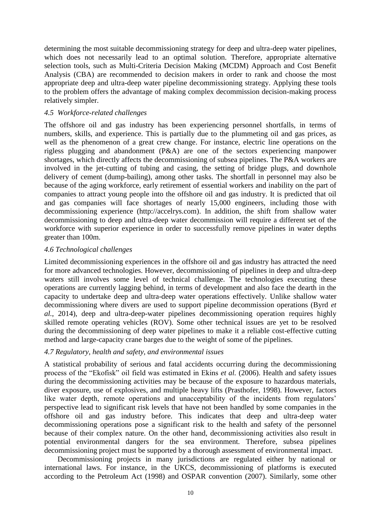determining the most suitable decommissioning strategy for deep and ultra-deep water pipelines, which does not necessarily lead to an optimal solution. Therefore, appropriate alternative selection tools, such as Multi-Criteria Decision Making (MCDM) Approach and Cost Benefit Analysis (CBA) are recommended to decision makers in order to rank and choose the most appropriate deep and ultra-deep water pipeline decommissioning strategy. Applying these tools to the problem offers the advantage of making complex decommission decision-making process relatively simpler.

#### *4.5 Workforce-related challenges*

The offshore oil and gas industry has been experiencing personnel shortfalls, in terms of numbers, skills, and experience. This is partially due to the plummeting oil and gas prices, as well as the phenomenon of a great crew change. For instance, electric line operations on the rigless plugging and abandonment (P&A) are one of the sectors experiencing manpower shortages, which directly affects the decommissioning of subsea pipelines. The P&A workers are involved in the jet-cutting of tubing and casing, the setting of bridge plugs, and downhole delivery of cement (dump-bailing), among other tasks. The shortfall in personnel may also be because of the aging workforce, early retirement of essential workers and inability on the part of companies to attract young people into the offshore oil and gas industry. It is predicted that oil and gas companies will face shortages of nearly 15,000 engineers, including those with decommissioning experience (http://accelrys.com). In addition, the shift from shallow water decommissioning to deep and ultra-deep water decommission will require a different set of the workforce with superior experience in order to successfully remove pipelines in water depths greater than 100m.

#### *4.6 Technological challenges*

Limited decommissioning experiences in the offshore oil and gas industry has attracted the need for more advanced technologies. However, decommissioning of pipelines in deep and ultra-deep waters still involves some level of technical challenge. The technologies executing these operations are currently lagging behind, in terms of development and also face the dearth in the capacity to undertake deep and ultra-deep water operations effectively. Unlike shallow water decommissioning where divers are used to support pipeline decommission operations (Byrd *et al.*, 2014), deep and ultra-deep-water pipelines decommissioning operation requires highly skilled remote operating vehicles (ROV). Some other technical issues are yet to be resolved during the decommissioning of deep water pipelines to make it a reliable cost-effective cutting method and large-capacity crane barges due to the weight of some of the pipelines.

#### *4.7 Regulatory, health and safety, and environmental issues*

A statistical probability of serious and fatal accidents occurring during the decommissioning process of the "Ekofisk" oil field was estimated in Ekins *et al.* (2006). Health and safety issues during the decommissioning activities may be because of the exposure to hazardous materials, diver exposure, use of explosives, and multiple heavy lifts (Prasthofer, 1998). However, factors like water depth, remote operations and unacceptability of the incidents from regulators' perspective lead to significant risk levels that have not been handled by some companies in the offshore oil and gas industry before. This indicates that deep and ultra-deep water decommissioning operations pose a significant risk to the health and safety of the personnel because of their complex nature. On the other hand, decommissioning activities also result in potential environmental dangers for the sea environment. Therefore, subsea pipelines decommissioning project must be supported by a thorough assessment of environmental impact.

Decommissioning projects in many jurisdictions are regulated either by national or international laws. For instance, in the UKCS, decommissioning of platforms is executed according to the Petroleum Act (1998) and OSPAR convention (2007). Similarly, some other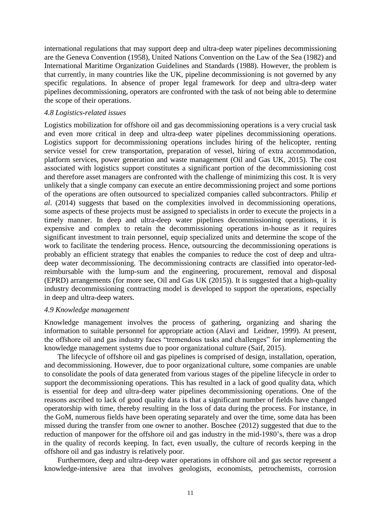international regulations that may support deep and ultra-deep water pipelines decommissioning are the Geneva Convention (1958), United Nations Convention on the Law of the Sea (1982) and International Maritime Organization Guidelines and Standards (1988). However, the problem is that currently, in many countries like the UK, pipeline decommissioning is not governed by any specific regulations. In absence of proper legal framework for deep and ultra-deep water pipelines decommissioning, operators are confronted with the task of not being able to determine the scope of their operations.

#### *4.8 Logistics-related issues*

Logistics mobilization for offshore oil and gas decommissioning operations is a very crucial task and even more critical in deep and ultra-deep water pipelines decommissioning operations. Logistics support for decommissioning operations includes hiring of the helicopter, renting service vessel for crew transportation, preparation of vessel, hiring of extra accommodation, platform services, power generation and waste management (Oil and Gas UK, 2015). The cost associated with logistics support constitutes a significant portion of the decommissioning cost and therefore asset managers are confronted with the challenge of minimizing this cost. It is very unlikely that a single company can execute an entire decommissioning project and some portions of the operations are often outsourced to specialized companies called subcontractors. Philip *et al*. (2014) suggests that based on the complexities involved in decommissioning operations, some aspects of these projects must be assigned to specialists in order to execute the projects in a timely manner. In deep and ultra-deep water pipelines decommissioning operations, it is expensive and complex to retain the decommissioning operations in-house as it requires significant investment to train personnel, equip specialized units and determine the scope of the work to facilitate the tendering process. Hence, outsourcing the decommissioning operations is probably an efficient strategy that enables the companies to reduce the cost of deep and ultradeep water decommissioning. The decommissioning contracts are classified into operator-ledreimbursable with the lump-sum and the engineering, procurement, removal and disposal (EPRD) arrangements (for more see, Oil and Gas UK (2015)). It is suggested that a high-quality industry decommissioning contracting model is developed to support the operations, especially in deep and ultra-deep waters.

#### *4.9 Knowledge management*

Knowledge management involves the process of gathering, organizing and sharing the information to suitable personnel for appropriate action (Alavi and Leidner, 1999). At present, the offshore oil and gas industry faces "tremendous tasks and challenges" for implementing the knowledge management systems due to poor organizational culture (Saif, 2015).

The lifecycle of offshore oil and gas pipelines is comprised of design, installation, operation, and decommissioning. However, due to poor organizational culture, some companies are unable to consolidate the pools of data generated from various stages of the pipeline lifecycle in order to support the decommissioning operations. This has resulted in a lack of good quality data, which is essential for deep and ultra-deep water pipelines decommissioning operations. One of the reasons ascribed to lack of good quality data is that a significant number of fields have changed operatorship with time, thereby resulting in the loss of data during the process. For instance, in the GoM, numerous fields have been operating separately and over the time, some data has been missed during the transfer from one owner to another. Boschee (2012) suggested that due to the reduction of manpower for the offshore oil and gas industry in the mid-1980's, there was a drop in the quality of records keeping. In fact, even usually, the culture of records keeping in the offshore oil and gas industry is relatively poor.

Furthermore, deep and ultra-deep water operations in offshore oil and gas sector represent a knowledge-intensive area that involves geologists, economists, petrochemists, corrosion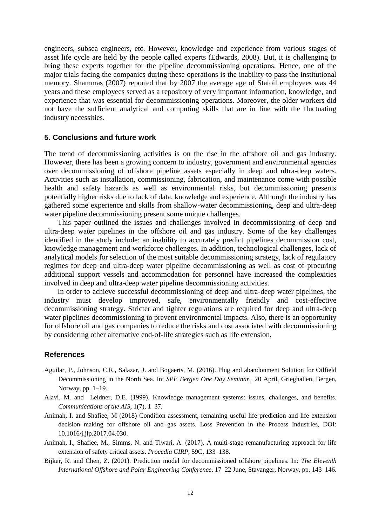engineers, subsea engineers, etc. However, knowledge and experience from various stages of asset life cycle are held by the people called experts (Edwards, 2008). But, it is challenging to bring these experts together for the pipeline decommissioning operations. Hence, one of the major trials facing the companies during these operations is the inability to pass the institutional memory. Shammas (2007) reported that by 2007 the average age of Statoil employees was 44 years and these employees served as a repository of very important information, knowledge, and experience that was essential for decommissioning operations. Moreover, the older workers did not have the sufficient analytical and computing skills that are in line with the fluctuating industry necessities.

#### **5. Conclusions and future work**

The trend of decommissioning activities is on the rise in the offshore oil and gas industry. However, there has been a growing concern to industry, government and environmental agencies over decommissioning of offshore pipeline assets especially in deep and ultra-deep waters. Activities such as installation, commissioning, fabrication, and maintenance come with possible health and safety hazards as well as environmental risks, but decommissioning presents potentially higher risks due to lack of data, knowledge and experience. Although the industry has gathered some experience and skills from shallow-water decommissioning, deep and ultra-deep water pipeline decommissioning present some unique challenges.

This paper outlined the issues and challenges involved in decommissioning of deep and ultra-deep water pipelines in the offshore oil and gas industry. Some of the key challenges identified in the study include: an inability to accurately predict pipelines decommission cost, knowledge management and workforce challenges. In addition, technological challenges, lack of analytical models for selection of the most suitable decommissioning strategy, lack of regulatory regimes for deep and ultra-deep water pipeline decommissioning as well as cost of procuring additional support vessels and accommodation for personnel have increased the complexities involved in deep and ultra-deep water pipeline decommissioning activities.

In order to achieve successful decommissioning of deep and ultra-deep water pipelines, the industry must develop improved, safe, environmentally friendly and cost-effective decommissioning strategy. Stricter and tighter regulations are required for deep and ultra-deep water pipelines decommissioning to prevent environmental impacts. Also, there is an opportunity for offshore oil and gas companies to reduce the risks and cost associated with decommissioning by considering other alternative end-of-life strategies such as life extension.

#### **References**

- Aguilar, P., Johnson, C.R., Salazar, J. and Bogaerts, M. (2016). Plug and abandonment Solution for Oilfield Decommissioning in the North Sea. In: *SPE Bergen One Day Seminar*, 20 April, Grieghallen, Bergen, Norway, pp. 1–19.
- Alavi, M. and Leidner, D.E. (1999). Knowledge management systems: issues, challenges, and benefits. *Communications of the AIS*, 1(7), 1–37.
- Animah, I. and Shafiee, M (2018) Condition assessment, remaining useful life prediction and life extension decision making for offshore oil and gas assets. Loss Prevention in the Process Industries, DOI: 10.1016/j.jlp.2017.04.030.
- Animah, I., Shafiee, M., Simms, N. and Tiwari, A. (2017). A multi-stage remanufacturing approach for life extension of safety critical assets. *Procedia CIRP*, 59C, 133–138.
- Bijker, R. and Chen, Z. (2001). Prediction model for decommissioned offshore pipelines. In: *The Eleventh International Offshore and Polar Engineering Conference,* 17–22 June, Stavanger, Norway. pp. 143–146.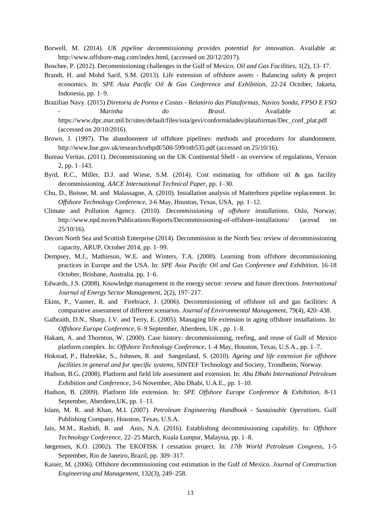- Borwell, M. (2014). *UK pipeline decommissioning provides potential for innovation*. Available at: http://www.offshore-mag.com/index.html, (accessed on 20/12/2017).
- Boschee, P. (2012). Decommissioning challenges in the Gulf of Mexico. *Oil and Gas Facilities*, 1(2), 13–17.
- Brandt, H. and Mohd Sarif, S.M. (2013). Life extension of offshore assets Balancing safety & project economics. In: *SPE Asia Pacific Oil & Gas Conference and Exhibition*, 22-24 October, Jakarta, Indonesia, pp. 1–9.

Brazilian Navy. (2015) *Diretoria de Portos e Costas - Relatório das Plataformas, Navios Sonda, FPSO E FSO - Marinha do Brasil*. Available at: https://www.dpc.mar.mil.br/sites/default/files/ssta/gevi/conformidades/plataformas/Dec\_conf\_plat.pdf (accessed on 20/10/2016).

- Brown, J. (1997). The abandonment of offshore pipelines: methods and procedures for abandonment. http://www.hse.gov.uk/research/othpdf/500-599/oth535.pdf (accessed on 25/10/16).
- Bureau Veritas. (2011). Decommissioning on the UK Continental Shelf an overview of regulations, Version 2, pp. 1–143.
- Byrd, R.C., Miller, D.J. and Wiese, S.M. (2014). Cost estimating for offshore oil & gas facility decommissioning. *AACE International Technical Paper*, pp. 1–30.
- Chu, D., Boisne, M. and Malassagne, A. (2010). Installation analysis of Matterhorn pipeline replacement. In: *Offshore Technology Conference*, 3-6 May, Houston, Texas, USA, pp. 1–12.
- Climate and Pollution Agency. (2010). *Decommissioning of offshore installations*. Oslo, Norway, http://www.npd.no/en/Publications/Reports/Decommissioning-of-offshore-installations/ (acessd on 25/10/16).
- Decom North Sea and Scottish Enterprise (2014). Decommission in the North Sea: review of decommissioning capacity, ARUP, October 2014, pp. 1–99.
- Dempsey, M.J., Mathieson, W.E. and Winters, T.A. (2000). Learning from offshore decommissioning practices in Europe and the USA. In: *SPE Asia Pacific Oil and Gas Conference and Exhibition*, 16-18 October, Brisbane, Australia. pp. 1–6.
- Edwards, J.S. (2008). Knowledge management in the energy sector: review and future directions. *International Journal of Energy Sector Management*, 2(2), 197–217.
- Ekins, P., Vanner, R. and Firebrace, J. (2006). Decommissioning of offshore oil and gas facilities: A comparative assessment of different scenarios. *Journal of Environmental Management*, 79(4), 420–438.
- Galbraith, D.N., Sharp, J.V. and Terry, E. (2005). Managing life extension in aging offshore installations. In: *Offshore Europe Conference*, 6–9 September, Aberdeen, UK , pp. 1–8.
- Hakam, A. and Thornton, W. (2000). Case history: decommissioning, reefing, and reuse of Gulf of Mexico platform complex. In: *Offshore Technology Conference*, 1–4 May, Houston, Texas, U.S.A., pp. 1–7.
- Hokstad, P., Habrekke, S., Johnsen, R. and Sangesland, S. (2010). *Ageing and life extension for offshore facilities in general and for specific systems*, SINTEF Technology and Society, Trondheim, Norway.
- Hudson, B.G. (2008). Platform and field life assessment and extension. In: *Abu Dhabi International Petroleum Exhibition and Conference*, 3-6 November, Abu Dhabi, U.A.E., pp. 1–10.
- Hudson, B. (2009). Platform life extension. In: *SPE Offshore Europe Conference & Exhibition*, 8-11 September, Aberdeen,UK, pp. 1–11.
- Islam, M. R. and Khan, M.I. (2007). *Petroleum Engineering Handbook - Sustainable Operations*. Gulf Publishing Company, Houston, Texas, U.S.A.
- Jais, M.M., Rashidi, R. and Anis, N.A. (2016). Establishing decommissioning capability. In: *Offshore Technology Conference*, 22–25 March, Kuala Lumpur, Malaysia, pp. 1–8.
- Jørgensen, K.O. (2002). The EKOFISK I cessation project. In: *17th World Petroleum Congress*, 1-5 September, Rio de Janeiro, Brazil, pp. 309–317.
- Kaiser, M. (2006). Offshore decommissioning cost estimation in the Gulf of Mexico. *Journal of Construction Engineering and Management*, 132(3), 249–258.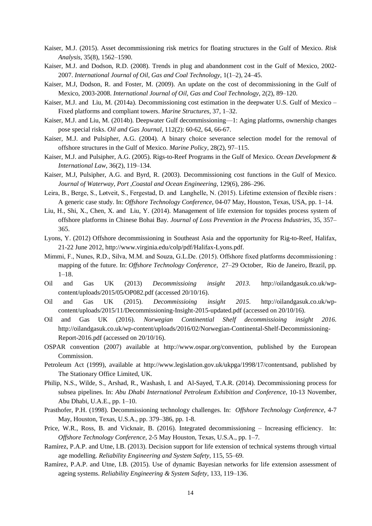- Kaiser, M.J. (2015). Asset decommissioning risk metrics for floating structures in the Gulf of Mexico. *Risk Analysis*, 35(8), 1562–1590.
- Kaiser, M.J. and Dodson, R.D. (2008). Trends in plug and abandonment cost in the Gulf of Mexico, 2002- 2007. *International Journal of Oil, Gas and Coal Technology*, 1(1–2), 24–45.
- Kaiser, M.J, Dodson, R. and Foster, M. (2009). An update on the cost of decommissioning in the Gulf of Mexico, 2003-2008. *International Journal of Oil, Gas and Coal Technology*, 2(2), 89–120.
- Kaiser, M.J. and Liu, M. (2014a). Decommissioning cost estimation in the deepwater U.S. Gulf of Mexico Fixed platforms and compliant towers. *Marine Structures*, 37, 1–32.
- Kaiser, M.J. and Liu, M. (2014b). Deepwater Gulf decommissioning—1: Aging platforms, ownership changes pose special risks. *Oil and Gas Journal*, 112(2): 60-62, 64, 66-67.
- Kaiser, M.J. and Pulsipher, A.G. (2004). A binary choice severance selection model for the removal of offshore structures in the Gulf of Mexico. *Marine Policy*, 28(2), 97–115.
- Kaiser, M.J. and Pulsipher, A.G. (2005). Rigs-to-Reef Programs in the Gulf of Mexico. *Ocean Development & International Law*, 36(2), 119–134.
- Kaiser, M.J, Pulsipher, A.G. and Byrd, R. (2003). Decommissioning cost functions in the Gulf of Mexico. *Journal of Waterway, Port ,Coastal and Ocean Engineering*, 129(6), 286–296.
- Leira, B., Berge, S., Løtveit, S., Fergestad, D. and Langhelle, N. (2015). Lifetime extension of flexible risers : A generic case study. In: *Offshore Technology Conference*, 04-07 May, Houston, Texas, USA, pp. 1–14.
- Liu, H., Shi, X., Chen, X. and Liu, Y. (2014). Management of life extension for topsides process system of offshore platforms in Chinese Bohai Bay. *Journal of Loss Prevention in the Process Industries*, 35, 357– 365.
- Lyons, Y. (2012) Offshore decommissioning in Southeast Asia and the opportunity for Rig-to-Reef, Halifax, 21-22 June 2012, http://www.virginia.edu/colp/pdf/Halifax-Lyons.pdf.
- Mimmi, F., Nunes, R.D., Silva, M.M. and Souza, G.L.De. (2015). Offshore fixed platforms decommissioning : mapping of the future. In: *Offshore Technology Conference*, 27–29 October, Rio de Janeiro, Brazil, pp.  $1-18$ .
- Oil and Gas UK (2013) *Decommissioing insight 2013*. http://oilandgasuk.co.uk/wpcontent/uploads/2015/05/OP082.pdf (accessed 20/10/16).
- Oil and Gas UK (2015). *Decommissioing insight 2015*. http://oilandgasuk.co.uk/wpcontent/uploads/2015/11/Decommissioning-Insight-2015-updated.pdf (accessed on 20/10/16).
- Oil and Gas UK (2016). *Norwegian Continential Shelf decommissioing insight 2016*. http://oilandgasuk.co.uk/wp-content/uploads/2016/02/Norwegian-Continental-Shelf-Decommissioning-Report-2016.pdf (accessed on 20/10/16).
- OSPAR convention (2007) available at http://www.ospar.org/convention, published by the European Commission.
- Petroleum Act (1999), available at http://www.legislation.gov.uk/ukpga/1998/17/contentsand, published by The Stationary Office Limited, UK.
- Philip, N.S., Wilde, S., Arshad, R., Washash, I. and Al-Sayed, T.A.R. (2014). Decommissioning process for subsea pipelines. In: *Abu Dhabi International Petroleum Exhibition and Conference*, 10-13 November, Abu Dhabi, U.A.E., pp. 1–10.
- Prasthofer, P.H. (1998). Decommissioning technology challenges. In: *Offshore Technology Conference*, 4-7 May, Houston, Texas, U.S.A., pp. 379–386, pp. 1-8.
- Price, W.R., Ross, B. and Vicknair, B. (2016). Integrated decommissioning Increasing efficiency. In: *Offshore Technology Conference*, 2-5 May Houston, Texas, U.S.A., pp. 1–7.
- Ramírez, P.A.P. and Utne, I.B. (2013). Decision support for life extension of technical systems through virtual age modelling. *Reliability Engineering and System Safety*, 115, 55–69.
- Ramírez, P.A.P. and Utne, I.B. (2015). Use of dynamic Bayesian networks for life extension assessment of ageing systems. *Reliability Engineering & System Safety*, 133, 119–136.